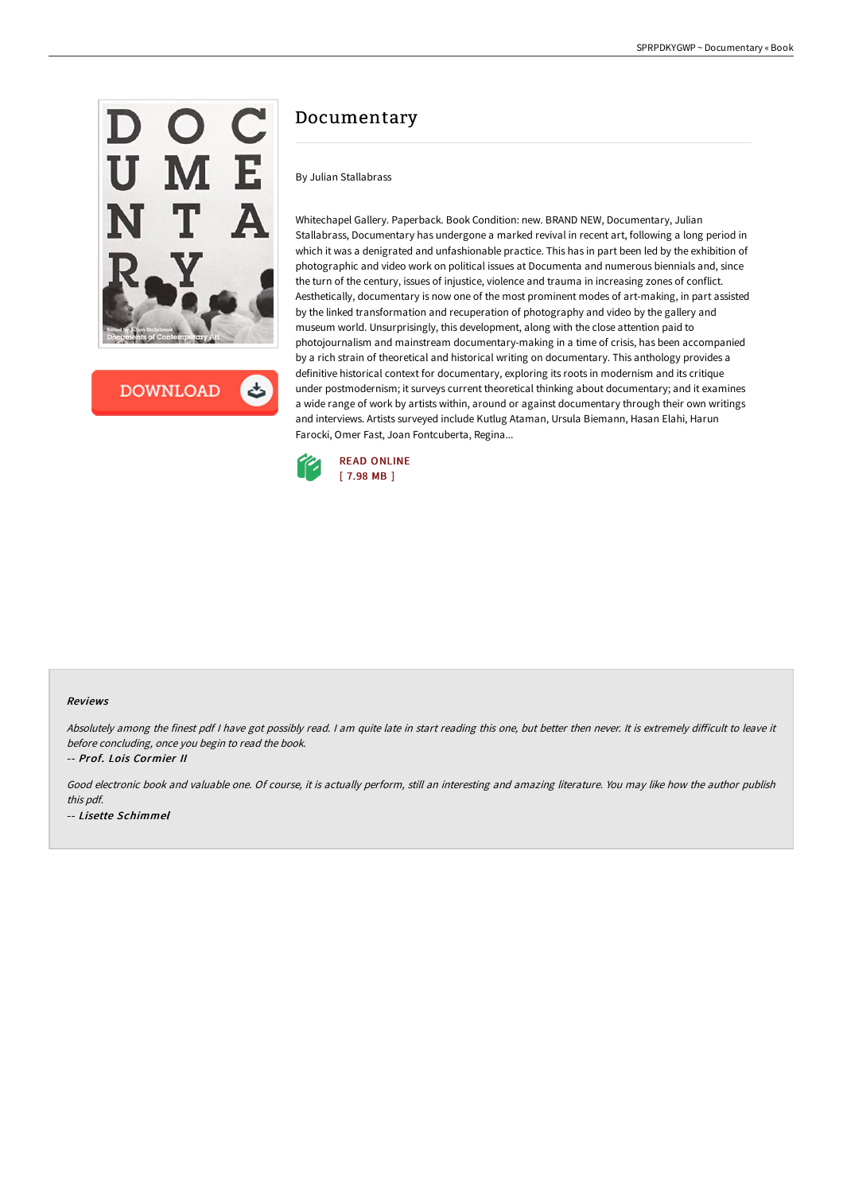

**DOWNLOAD** 

# Documentary

By Julian Stallabrass

Whitechapel Gallery. Paperback. Book Condition: new. BRAND NEW, Documentary, Julian Stallabrass, Documentary has undergone a marked revival in recent art, following a long period in which it was a denigrated and unfashionable practice. This has in part been led by the exhibition of photographic and video work on political issues at Documenta and numerous biennials and, since the turn of the century, issues of injustice, violence and trauma in increasing zones of conflict. Aesthetically, documentary is now one of the most prominent modes of art-making, in part assisted by the linked transformation and recuperation of photography and video by the gallery and museum world. Unsurprisingly, this development, along with the close attention paid to photojournalism and mainstream documentary-making in a time of crisis, has been accompanied by a rich strain of theoretical and historical writing on documentary. This anthology provides a definitive historical context for documentary, exploring its roots in modernism and its critique under postmodernism; it surveys current theoretical thinking about documentary; and it examines a wide range of work by artists within, around or against documentary through their own writings and interviews. Artists surveyed include Kutlug Ataman, Ursula Biemann, Hasan Elahi, Harun Farocki, Omer Fast, Joan Fontcuberta, Regina...



#### Reviews

Absolutely among the finest pdf I have got possibly read. I am quite late in start reading this one, but better then never. It is extremely difficult to leave it before concluding, once you begin to read the book.

-- Prof. Lois Cormier II

Good electronic book and valuable one. Of course, it is actually perform, still an interesting and amazing literature. You may like how the author publish this pdf. -- Lisette Schimmel